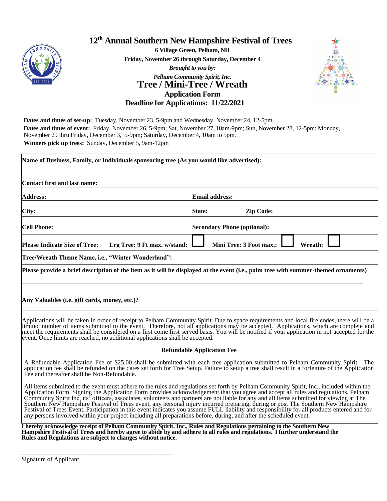

## **12 th Annual Southern New Hampshire Festival of Trees**

**6 Village Green, Pelham, NH**

**Friday, November 26 through Saturday, December 4**

## *Brought to you by: Pelham Community Spirit, Inc.* **Tree / Mini-Tree / Wreath Application Form**



**Deadline for Applications: 11/22/2021**

**Dates and times of set-up:** Tuesday, November 23, 5-9pm and Wednesday, November 24, 12-5pm **Dates and times of event:** Friday, November 26, 5-9pm; Sat, November 27,10am-9pm; Sun, November 28, 12-5pm; Monday, November 29 thru Friday, December 3, 5-9pm; Saturday, December 4, 10am to 5pm. **Winners pick up trees:** Sunday, December 5, 9am-12pm

| Contact first and last name:                       |                                                                                                                                    |                  |
|----------------------------------------------------|------------------------------------------------------------------------------------------------------------------------------------|------------------|
| <b>Address:</b>                                    | <b>Email address:</b>                                                                                                              |                  |
| City:                                              | State:                                                                                                                             | <b>Zip Code:</b> |
| <b>Cell Phone:</b>                                 | <b>Secondary Phone (optional):</b>                                                                                                 |                  |
| <b>Please Indicate Size of Tree:</b>               | Mini Tree: 3 Foot max.:<br>Lrg Tree: 9 Ft max. w/stand:                                                                            | Wreath:          |
| Tree/Wreath Theme Name, i.e., "Winter Wonderland": |                                                                                                                                    |                  |
|                                                    | Please provide a brief description of the item as it will be displayed at the event (i.e., palm tree with summer-themed ornaments) |                  |
|                                                    |                                                                                                                                    |                  |

Applications will be taken in order of receipt to Pelham Community Spirit. Due to space requirements and local fire codes, there will be a limited number of items submitted to the event. Therefore, not all applications may be accepted. Applications, which are complete and meet the requirements shall be considered on a first come first served basis. You will be notified if your application in not accepted for the event. Once limits are reached, no additional applications shall be accepted.

## **Refundable Application Fee**

A Refundable Application Fee of \$25.00 shall be submitted with each tree application submitted to Pelham Community Spirit. The application fee shall be refunded on the dates set forth for Tree Setup. Failure to setup a tree shall result in a forfeiture of the Application Fee and thereafter shall be Non-Refundable.

All items submitted to the event must adhere to the rules and regulations set forth by Pelham Community Spirit, Inc., included within the Application Form. Signing the Application Form provides acknowledgement that you agree and accept all rules and regulations. Pelham Community Spirit Inc, its' officers, associates, volunteers and partners are not liable for any and all items submitted for viewing at The Southern New Hampshire Festival of Trees event, any personal injury incurred preparing, during or post The Southern New Hampshire Festival of Trees Event. Participation in this event indicates you assume FULL liability and responsibility for all products entered and for any persons involved within your project including all preparations before, during, and after the scheduled event.

**I hereby acknowledge receipt of Pelham Community Spirit, Inc., Rules and Regulations pertaining to the Southern New Hampshire Festival of Trees and hereby agree to abide by and adhere to all rules and regulations. I further understand the Rules and Regulations are subject to changes without notice.** 

\_\_\_\_\_\_\_\_\_\_\_\_\_\_\_\_\_\_\_\_\_\_\_\_\_\_\_\_\_\_\_\_\_\_\_\_\_\_\_\_\_\_\_